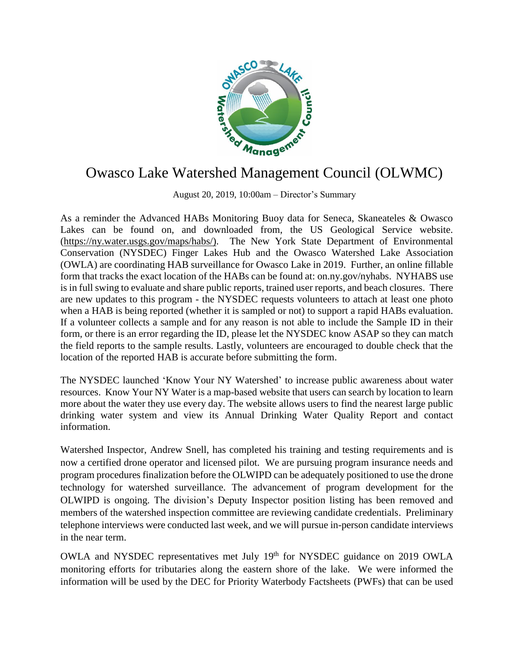

## Owasco Lake Watershed Management Council (OLWMC)

August 20, 2019, 10:00am – Director's Summary

As a reminder the Advanced HABs Monitoring Buoy data for Seneca, Skaneateles & Owasco Lakes can be found on, and downloaded from, the US Geological Service website. [\(https://ny.water.usgs.gov/maps/habs/\)](https://ny.water.usgs.gov/maps/habs/). The New York State Department of Environmental Conservation (NYSDEC) Finger Lakes Hub and the Owasco Watershed Lake Association (OWLA) are coordinating HAB surveillance for Owasco Lake in 2019. Further, an online fillable form that tracks the exact location of the HABs can be found at: on.ny.gov/nyhabs. NYHABS use is in full swing to evaluate and share public reports, trained user reports, and beach closures. There are new updates to this program - the NYSDEC requests volunteers to attach at least one photo when a HAB is being reported (whether it is sampled or not) to support a rapid HABs evaluation. If a volunteer collects a sample and for any reason is not able to include the Sample ID in their form, or there is an error regarding the ID, please let the NYSDEC know ASAP so they can match the field reports to the sample results. Lastly, volunteers are encouraged to double check that the location of the reported HAB is accurate before submitting the form.

The NYSDEC launched 'Know Your NY Watershed' to increase public awareness about water resources. Know Your NY Water is a map-based website that users can search by location to learn more about the water they use every day. The website allows users to find the nearest large public drinking water system and view its Annual Drinking Water Quality Report and contact information.

Watershed Inspector, Andrew Snell, has completed his training and testing requirements and is now a certified drone operator and licensed pilot. We are pursuing program insurance needs and program procedures finalization before the OLWIPD can be adequately positioned to use the drone technology for watershed surveillance. The advancement of program development for the OLWIPD is ongoing. The division's Deputy Inspector position listing has been removed and members of the watershed inspection committee are reviewing candidate credentials. Preliminary telephone interviews were conducted last week, and we will pursue in-person candidate interviews in the near term.

OWLA and NYSDEC representatives met July 19th for NYSDEC guidance on 2019 OWLA monitoring efforts for tributaries along the eastern shore of the lake. We were informed the information will be used by the DEC for Priority Waterbody Factsheets (PWFs) that can be used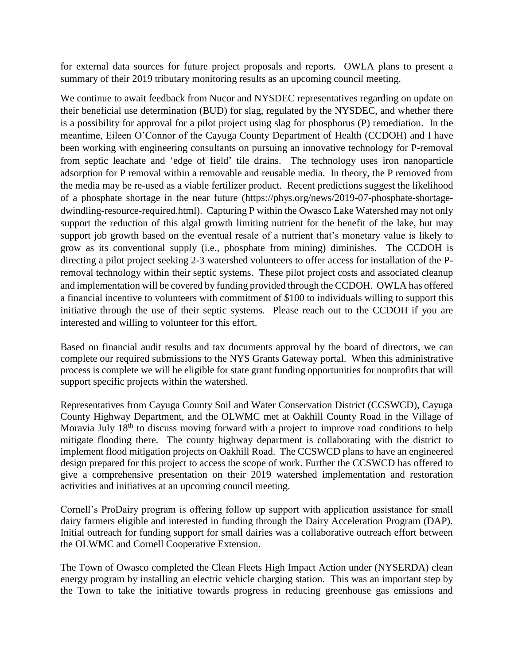for external data sources for future project proposals and reports. OWLA plans to present a summary of their 2019 tributary monitoring results as an upcoming council meeting.

We continue to await feedback from Nucor and NYSDEC representatives regarding on update on their beneficial use determination (BUD) for slag, regulated by the NYSDEC, and whether there is a possibility for approval for a pilot project using slag for phosphorus (P) remediation. In the meantime, Eileen O'Connor of the Cayuga County Department of Health (CCDOH) and I have been working with engineering consultants on pursuing an innovative technology for P-removal from septic leachate and 'edge of field' tile drains. The technology uses iron nanoparticle adsorption for P removal within a removable and reusable media. In theory, the P removed from the media may be re-used as a viable fertilizer product. Recent predictions suggest the likelihood of a phosphate shortage in the near future (https://phys.org/news/2019-07-phosphate-shortagedwindling-resource-required.html). Capturing P within the Owasco Lake Watershed may not only support the reduction of this algal growth limiting nutrient for the benefit of the lake, but may support job growth based on the eventual resale of a nutrient that's monetary value is likely to grow as its conventional supply (i.e., phosphate from mining) diminishes. The CCDOH is directing a pilot project seeking 2-3 watershed volunteers to offer access for installation of the Premoval technology within their septic systems. These pilot project costs and associated cleanup and implementation will be covered by funding provided through the CCDOH. OWLA has offered a financial incentive to volunteers with commitment of \$100 to individuals willing to support this initiative through the use of their septic systems. Please reach out to the CCDOH if you are interested and willing to volunteer for this effort.

Based on financial audit results and tax documents approval by the board of directors, we can complete our required submissions to the NYS Grants Gateway portal. When this administrative process is complete we will be eligible for state grant funding opportunities for nonprofits that will support specific projects within the watershed.

Representatives from Cayuga County Soil and Water Conservation District (CCSWCD), Cayuga County Highway Department, and the OLWMC met at Oakhill County Road in the Village of Moravia July  $18<sup>th</sup>$  to discuss moving forward with a project to improve road conditions to help mitigate flooding there. The county highway department is collaborating with the district to implement flood mitigation projects on Oakhill Road. The CCSWCD plans to have an engineered design prepared for this project to access the scope of work. Further the CCSWCD has offered to give a comprehensive presentation on their 2019 watershed implementation and restoration activities and initiatives at an upcoming council meeting.

Cornell's ProDairy program is offering follow up support with application assistance for small dairy farmers eligible and interested in funding through the Dairy Acceleration Program (DAP). Initial outreach for funding support for small dairies was a collaborative outreach effort between the OLWMC and Cornell Cooperative Extension.

The Town of Owasco completed the Clean Fleets High Impact Action under (NYSERDA) clean energy program by installing an electric vehicle charging station. This was an important step by the Town to take the initiative towards progress in reducing greenhouse gas emissions and